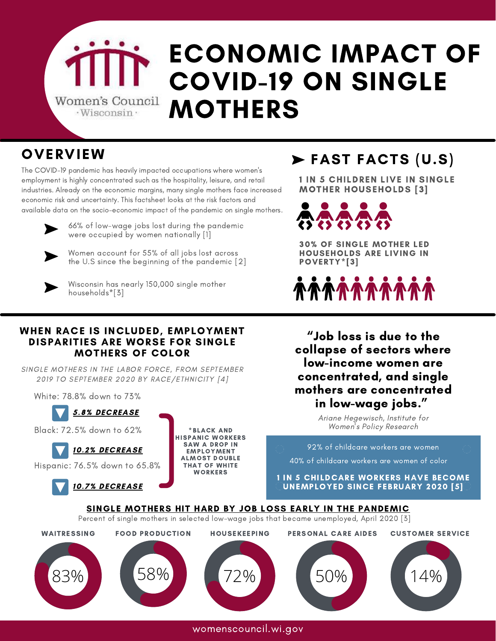

# ECONOMIC IMPACT OF COVID-19 ON SINGLE MOTHERS

### **OVERVIEW**

The COVID-19 pandemic has heavily impacted occupations where women's employment is highly concentrated such as the hospitality, leisure, and retail industries. Already on the economic margins, many single mothers face increased economic risk and uncertainty. This factsheet looks at the risk factors and available data on the socio-economic impact of the pandemic on single mothers.



66% of low-wage jobs lost during the pandemic were occupied by women nationally [1]



Women account for 55% of all jobs lost across the U.S since the beginning of the pandemic [2]



Wisconsin has nearly 150,000 single mother households\*[3]

#### WHEN RACE IS INCLUDED, EMPLOYMENT DISPARITIES ARE WORSE FOR SINGLE MOTHERS OF COLOR

SINGLE MOTHERS IN THE LABOR FORCE, FROM SEPTEMBER 2019 TO SEPTEMBER 2020 BY RACE/ETHNICITY [4]

White: 78.8% down to 73%



Black: 72.5% down to 62%

\*BLACK AND HISPANIC WORKERS SAW A DROP IN EMPLOYMENT ALMOST DOUBLE THAT OF WHITE WORKERS

## FAST FACTS (U.S)

1 IN 5 CHILDREN LIVE IN SINGLE MOTHER HOUSEHOLDS [3]

 $\bullet$   $\bullet$   $\bullet$ 合合の

30% OF SINGLE MOTHER LED HOUSEHOLDS ARE LIVING IN POVERTY\*[3]

*^^^^^^^^^^^^^* 

"Job loss is due to the collapse of sectors where low-income women are concentrated, and single mothers are concentrated in low-wage jobs."

> Ariane Hegewisch, Institute for Women's Policy Research



womenscouncil.wi.gov